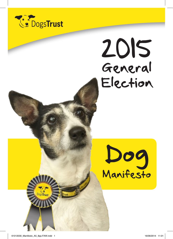

# 2015 General Election



61012030\_Manifesto\_A5\_8pp.FAW.indd 1 16/06/2014 11:01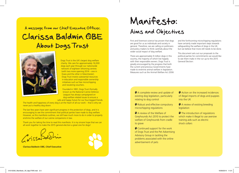A message from our Chief Executive Officer, Clarissa Baldwin OBE About Dogs Trust



Dogs Trust is the UK's largest dog welfare charity. We care for approximately 16,000 dogs each year through our nationwide network of eighteen rehoming centres (with two more opening 2014 – one in Essex and the other in Manchester). Dogs Trust invests substantial resources in education and responsible ownership initiatives such as free microchipping and neutering vouchers.

Founded in 1891, Dogs Trust (formally known as the National Canine Defence League) has always campaigned on dog-welfare related issues to ensure a safe and happy future for our four-legged friends.

The health and happiness of every dog is at the heart of all our work – that is why we never put a healthy dog down.

The last few years have seen significant progress in the protection of dogs, and it is encouraging to see the commitment that political parties have made to dog welfare. However, as this manifesto outlines, we still have much more to do in order to properly enshrine the welfare of our canine companions in law.

Thank you for taking the time to read this manifesto. It is my sincere hope that we can all work together to make the 2015 general election a great one for dogs!

Carissalsolin

**Clarissa Baldwin OBE, Chief Executive**

## Manifesto: Aims and Objectives

First and foremost science has proven that dogs are good for us as individuals and society in general. Therefore, we are calling on politicians and policy makers to think carefully about the wider social impact of dog welfare.

There are approximately 9 million dogs in this country, the majority of which live happily with their responsible owners. Dogs Trust is greatly encouraged by the progress that both the current and previous Governments have made to enshrine animal welfare in legislation. Measures such as the Animal Welfare Act 2006 and the forthcoming microchipping regulations have certainly made important steps towards safeguarding the welfare of dogs in the UK, but we believe that more still needs to be done.

This document sets out our proposals to the political parties for commitments we would like to see them make in the run up to the 2015 General Election:

<del><sup>■</sup></del> A complete review and update of existing dog legislation, particularly relating to dog control

**<sup>2</sup>** Robust and effective compulsory microchipping regulations

**A** review of the Welfare of Greyhounds Act 2010 to protect the welfare of Greyhounds from cradle to grave

**<sup>2</sup>** Continued support for the work of Dogs Trust and the Pet Advertising Advisory Group in tackling the problems associated with the online advertisement of pets

**Action on the increased incidences** of illegal imports of dogs and puppies into the UK

**A** review of existing breeding legislation

<sup>2</sup> The introduction of regulations which make it illegal to use aversive training aids such as electric shock collars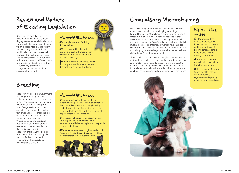### Review and Update of Existing Legislation

Dogs Trust believes that there is a need for a fundamental overhaul of dog legislation, especially in relation to irresponsible dog ownership; therefore we are disappointed that the current and previous governments have traditionally opted for a piecemeal approach. Instead both dog owners and enforcers will be left to contend with, at a minimum, 12 different pieces of legislation relating to dog control, excluding any local bylaws. Dogs, their owners, the public and enforcers deserve better.

### Breeding

Dogs Trust would like the Government to strengthen existing breeding legislation to afford greater protection to dogs and puppies, as the provisions under the existing Breeding and Sale of Dogs (Welfare) Act 1999 are not strong enough. It is evident that breeding licenses are issued too easily (or often not at all) and license requirements are too soft. What's more, we find that Local Authorities often provide unclear guidance to potential breeders on the requirements of a licence. Dogs Trust chairs a working group which has drafted improved guidance for Local Authorities on model conditions for the inspection of breeding establishments.

### We would like to see:

**<sup>2</sup>** A complete review of existing dog legislation

**<sup>2</sup>** Clear, targeted legislation to identify and deal with those owners who fail to take appropriate action to control their dogs

 $\bullet$  A robust new law bringing together the many existing disparate threads of dog control and welfare legislation

#### We would like to see:

 $\clubsuit$  A review and strengthening of the law surrounding dog breeding. Any such legislation should include measures governing breeding establishments, the welfare of dogs and puppies in these establishments, and the prevention of inappropriate breeding practices

 Robust and effective license requirements, including the need for breeders to devise socialisation and habituation plans for the puppies in their establishments

**<sup>2</sup>** Better enforcement – through more detailed Government legislation and guidance – of licensing requirements at a Local Authority level



### Compulsory Microchipping

Dogs Trust strongly welcomed the Government's decision to introduce compulsory microchipping for all dogs in England from 2016. Microchipping is proven to be the most effective way of ensuring lost dogs are returned to their owners and is, as such, a vital aspect of dog welfare and responsible ownership. Dogs Trust has set aside a substantial investment to ensure that every owner can have their dog chipped ahead of the legislation coming into force. Since our microchipping campaign began in the mid-nineties, we have chipped over 725,000 dogs in the UK.

The microchip number itself is meaningless. Owners need to register the microchip number as well as their details with an appropriate computerised database. It is essential that the databases are kept up to date with correct personal details. It is vital that any database is available 24 hours a day, and all databases are compatible and communicate with each other.

#### We would like to see:

**We** MPs working closely with us to promote the benefits of microchipping and the importance of keeping database details up to date to their dog owning constituents

**<sup>2</sup>** Robust and effective microchipping regulations from the Government

 $\bullet$  A commitment from the Government to enshrine the importance of registration and updating details in these regulations

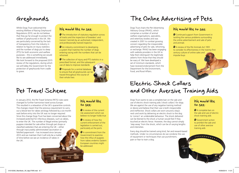Whilst Dogs Trust welcomed the existing Welfare of Racing Greyhound Regulations 2010, we do not believe that they go far enough to protect the welfare of greyhounds in the UK. We are particularly concerned by the lack of transparency from the industry in relation to figures on injury statistics and the number of dogs put to sleep (PTS) for both economic and welfare purposes – this is something we would like to see addressed immediately. We look forward to the proposed 2015 review of the regulations, during which we will lobby the Government for the protection of greyhounds from cradle to grave.

#### We would like to see:

<sup>2</sup> The introduction of statutory regulation across all tracks and the inspection of breeders' and trainers' kennels by an authorised, independent, and professionally trained inspector.

 $\bullet$  An industry commitment to developing a system that matches the number of dogs entering racing with the numbers that can be rehomed

<sup>2</sup> The collection of injury and PTS statistics in a prescribed format, and the subsequent use of data to improve standards

 Proposals for a central database to ensure that all greyhounds can be traced throughout the course of their whole lives

### Pet Travel Scheme

In January 2012, the Pet Travel Scheme (PETS) rules were changed to further harmonise travel across Europe. This resulted in a relaxation of the UK's quarantine controls. The changes meant that the previous requirement to carry out a blood test for rabies serology followed by a six-month wait before entry into the UK was no longer required. Since this change Dogs Trust has been concerned about the increased potential for infectious diseases, such as rabies, to enter the UK. The number of illegal entries (primarily puppies intended for sale either through pet shops or classified websites) that are entering the UK – either through inaccurately administrated vaccination or falsified paperwork – has increased since January 2012 and we maintain that it will only be a matter of time before we see an incidence of rabies in the UK.

#### We would like to see:

<sup>2</sup> A review of the current risk assessment which we believe no longer holds true

<sup>2</sup> A review of how the current enforcement of the legislation is carried out, particularly at the ports

 $\bullet$  A commitment from the Government to examine how the influx of puppies from rabies endemic Eastern European countries might be addressed

### Greyhounds The Online Advertising of Pets

Dogs Trust chairs the Pet Advertising Advisory Group (PAAG), which comprises a number of animal welfare organisations, specialists, and veterinary bodies and was created in 2001 to combat growing concern regarding the irresponsible advertising of pets for sale, rehoming, or exchange. PAAG has been engaging with website providers in the UK to help them distinguish the legitimate adverts from those that they should be wary of. We have developed a set of minimum standards, which have received endorsement from the Department for the Environment, Food, and Rural Affairs.

#### We would like to see:

**<sup>2</sup>** Continued support from Government in tackling the various problems surrounding the online advertisement and sale of pets and animals

A review of the Pet Animals Act 1951 to consider its effectiveness in the twenty-first century culture of online sales and impulse buys

### Electric Shock Collars and Other Aversive Training Aids

Dogs Trust wants to see a complete ban on the sale and use of electric shock training aids ('shock collars') for dogs. We are against the use of any negative training method or device and believe that their use is both irresponsible and ineffective. Shock collars are worn around a dog's neck and work by delivering an electric shock to the dog to 'correct' an undesirable behaviour. The shock delivered can be likened to the shock a human would feel if they touched an electric fence. However, the dog cannot simply 'step away' from the shock, which can be of varying lengths and intensities.

Every dog should be trained using kind, fair and reward-based methods. Under no circumstances do we condone the use of equipment or techniques that use punishment, pain or fear to train a dog.

#### We would like to see:

<del><sup>4</sup></del> A complete ban on the sale and use of electric shock training aids

<sup>2</sup> Government action to prohibit the sale and use of other aversive training aids

**REAL PROPERTY**